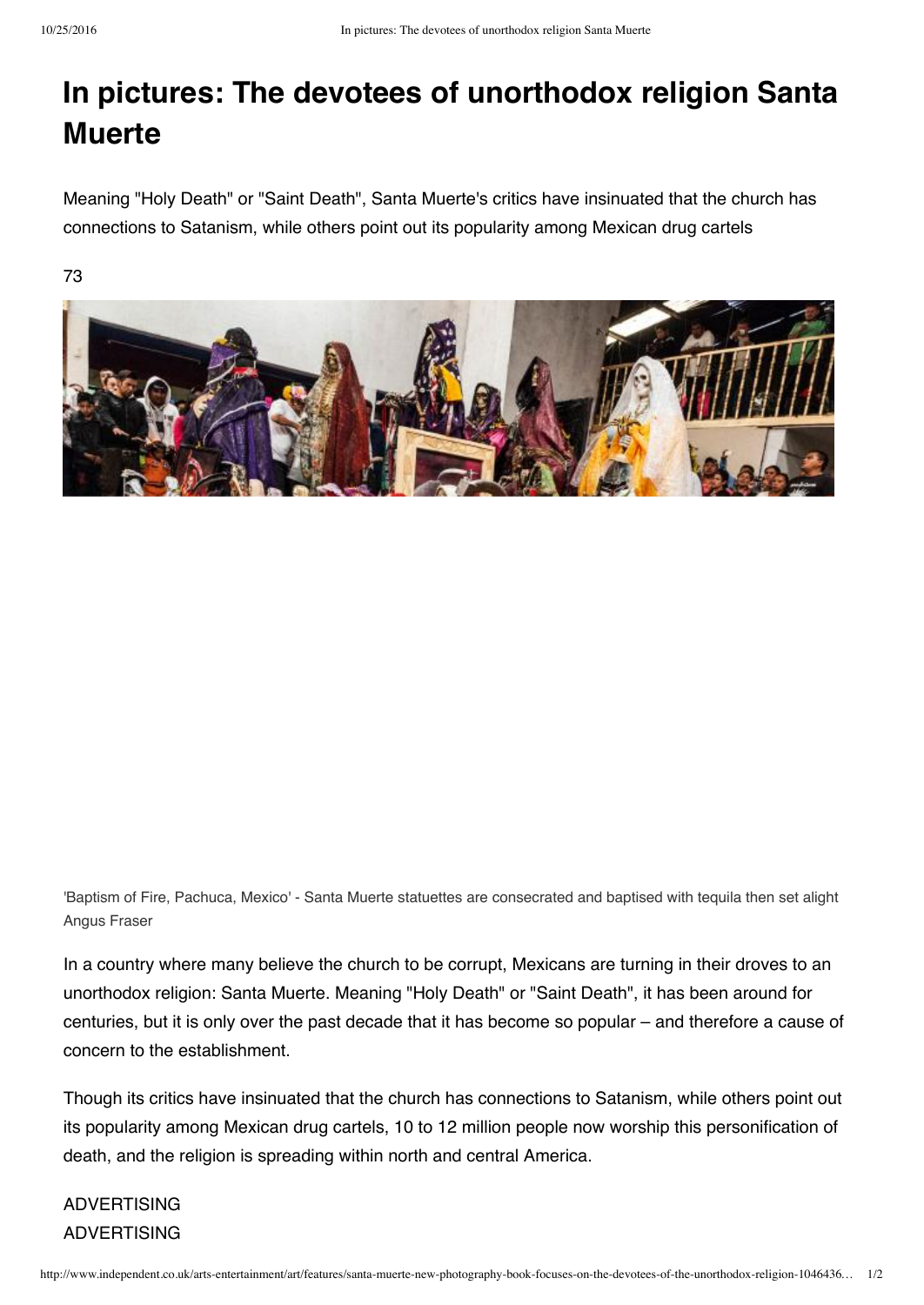## **In pictures: The devotees of unorthodox religion Santa Muerte**

Meaning "Holy Death" or "Saint Death", Santa Muerte's critics have insinuated that the church has connections to Satanism, while others point out its popularity among Mexican drug cartels

73



'Baptism of Fire, Pachuca, Mexico' - Santa Muerte statuettes are consecrated and baptised with tequila then set alight Angus Fraser

In a country where many believe the church to be corrupt, Mexicans are turning in their droves to an unorthodox religion: Santa Muerte. Meaning "Holy Death" or "Saint Death", it has been around for centuries, but it is only over the past decade that it has become so popular – and therefore a cause of concern to the establishment.

Though its critics have insinuated that the church has connections to Satanism, while others point out its popularity among Mexican drug cartels, 10 to 12 million people now worship this personification of death, and the religion is spreading within north and central America.

## ADVERTISING ADVERTISING